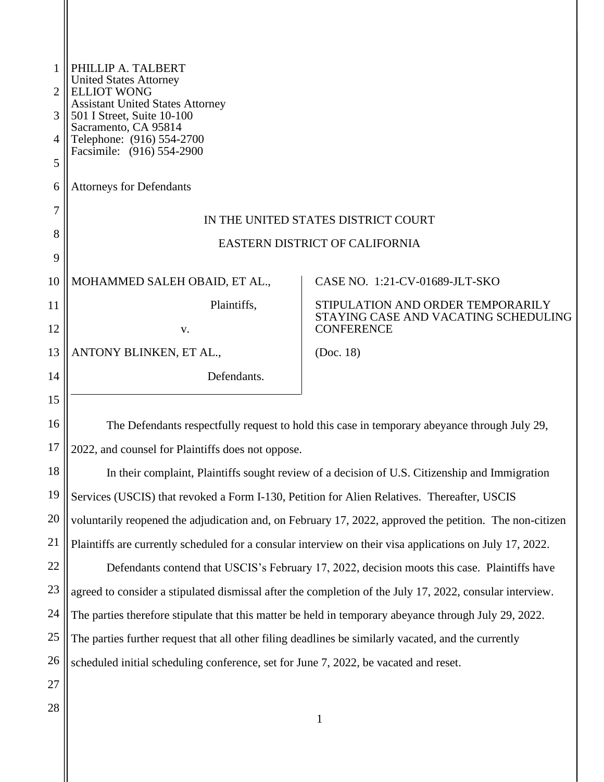| 1  | PHILLIP A. TALBERT<br><b>United States Attorney</b><br><b>ELLIOT WONG</b><br><b>Assistant United States Attorney</b><br>501 I Street, Suite 10-100 |                                                                                              |  |
|----|----------------------------------------------------------------------------------------------------------------------------------------------------|----------------------------------------------------------------------------------------------|--|
| 2  |                                                                                                                                                    |                                                                                              |  |
| 3  |                                                                                                                                                    |                                                                                              |  |
| 4  | Sacramento, CA 95814<br>Telephone: (916) 554-2700                                                                                                  |                                                                                              |  |
| 5  | Facsimile: (916) 554-2900                                                                                                                          |                                                                                              |  |
| 6  | <b>Attorneys for Defendants</b>                                                                                                                    |                                                                                              |  |
| 7  |                                                                                                                                                    |                                                                                              |  |
| 8  | IN THE UNITED STATES DISTRICT COURT                                                                                                                |                                                                                              |  |
| 9  | <b>EASTERN DISTRICT OF CALIFORNIA</b>                                                                                                              |                                                                                              |  |
| 10 | MOHAMMED SALEH OBAID, ET AL.,                                                                                                                      | CASE NO. 1:21-CV-01689-JLT-SKO                                                               |  |
| 11 | Plaintiffs,                                                                                                                                        | STIPULATION AND ORDER TEMPORARILY                                                            |  |
| 12 | V.                                                                                                                                                 | STAYING CASE AND VACATING SCHEDULING<br><b>CONFERENCE</b>                                    |  |
| 13 | ANTONY BLINKEN, ET AL.,                                                                                                                            | (Doc. 18)                                                                                    |  |
| 14 | Defendants.                                                                                                                                        |                                                                                              |  |
| 15 |                                                                                                                                                    |                                                                                              |  |
| 16 |                                                                                                                                                    | The Defendants respectfully request to hold this case in temporary abeyance through July 29, |  |
| 17 | 2022, and counsel for Plaintiffs does not oppose.                                                                                                  |                                                                                              |  |
| 18 | In their complaint, Plaintiffs sought review of a decision of U.S. Citizenship and Immigration                                                     |                                                                                              |  |
| 19 | Services (USCIS) that revoked a Form I-130, Petition for Alien Relatives. Thereafter, USCIS                                                        |                                                                                              |  |
| 20 | voluntarily reopened the adjudication and, on February 17, 2022, approved the petition. The non-citizen                                            |                                                                                              |  |
| 21 | Plaintiffs are currently scheduled for a consular interview on their visa applications on July 17, 2022.                                           |                                                                                              |  |
| 22 | Defendants contend that USCIS's February 17, 2022, decision moots this case. Plaintiffs have                                                       |                                                                                              |  |
| 23 | agreed to consider a stipulated dismissal after the completion of the July 17, 2022, consular interview.                                           |                                                                                              |  |
| 24 | The parties therefore stipulate that this matter be held in temporary abeyance through July 29, 2022.                                              |                                                                                              |  |
| 25 | The parties further request that all other filing deadlines be similarly vacated, and the currently                                                |                                                                                              |  |
| 26 | scheduled initial scheduling conference, set for June 7, 2022, be vacated and reset.                                                               |                                                                                              |  |
| 27 |                                                                                                                                                    |                                                                                              |  |
| 28 |                                                                                                                                                    |                                                                                              |  |
|    |                                                                                                                                                    |                                                                                              |  |

 $\mathsf{I}$